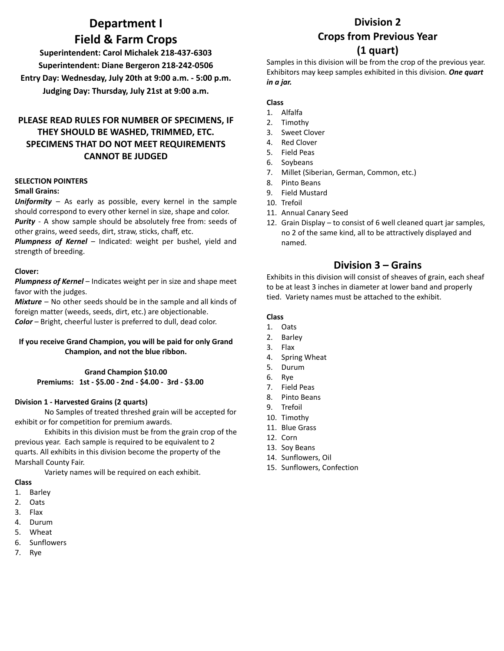# **Department I Field & Farm Crops**

**Superintendent: Carol Michalek 218-437-6303 Superintendent: Diane Bergeron 218-242-0506 Entry Day: Wednesday, July 20th at 9:00 a.m. - 5:00 p.m. Judging Day: Thursday, July 21st at 9:00 a.m.**

## **PLEASE READ RULES FOR NUMBER OF SPECIMENS, IF THEY SHOULD BE WASHED, TRIMMED, ETC. SPECIMENS THAT DO NOT MEET REQUIREMENTS CANNOT BE JUDGED**

#### **SELECTION POINTERS**

#### **Small Grains:**

*Uniformity* – As early as possible, every kernel in the sample should correspond to every other kernel in size, shape and color. *Purity -* A show sample should be absolutely free from: seeds of other grains, weed seeds, dirt, straw, sticks, chaff, etc.

*Plumpness of Kernel* – Indicated: weight per bushel, yield and strength of breeding.

#### **Clover:**

*Plumpness of Kernel* – Indicates weight per in size and shape meet favor with the judges.

*Mixture –* No other seeds should be in the sample and all kinds of foreign matter (weeds, seeds, dirt, etc.) are objectionable. *Color –* Bright, cheerful luster is preferred to dull, dead color.

#### **If you receive Grand Champion, you will be paid for only Grand Champion, and not the blue ribbon.**

**Grand Champion \$10.00 Premiums: 1st - \$5.00 - 2nd - \$4.00 - 3rd - \$3.00**

#### **Division 1 - Harvested Grains (2 quarts)**

No Samples of treated threshed grain will be accepted for exhibit or for competition for premium awards.

Exhibits in this division must be from the grain crop of the previous year. Each sample is required to be equivalent to 2 quarts. All exhibits in this division become the property of the Marshall County Fair.

Variety names will be required on each exhibit.

#### **Class**

- 1. Barley
- 2. Oats
- 3. Flax
- 4. Durum
- 5. Wheat
- 6. Sunflowers
- 7. Rye

# **Division 2 Crops from Previous Year (1 quart)**

Samples in this division will be from the crop of the previous year. Exhibitors may keep samples exhibited in this division. *One quart in a jar.*

#### **Class**

- 1. Alfalfa
- 2. Timothy
- 3. Sweet Clover
- 4. Red Clover
- 5. Field Peas
- 6. Soybeans
- 7. Millet (Siberian, German, Common, etc.)
- 8. Pinto Beans
- 9. Field Mustard
- 10. Trefoil
- 11. Annual Canary Seed
- 12. Grain Display to consist of 6 well cleaned quart jar samples, no 2 of the same kind, all to be attractively displayed and named.

### **Division 3 – Grains**

Exhibits in this division will consist of sheaves of grain, each sheaf to be at least 3 inches in diameter at lower band and properly tied. Variety names must be attached to the exhibit.

#### **Class**

- 1. Oats
- 2. Barley
- 3. Flax
- 4. Spring Wheat
- 5. Durum
- 6. Rye
- 7. Field Peas
- 8. Pinto Beans
- 9. Trefoil
- 10. Timothy
- 11. Blue Grass
- 12. Corn
- 13. Soy Beans
- 14. Sunflowers, Oil
- 15. Sunflowers, Confection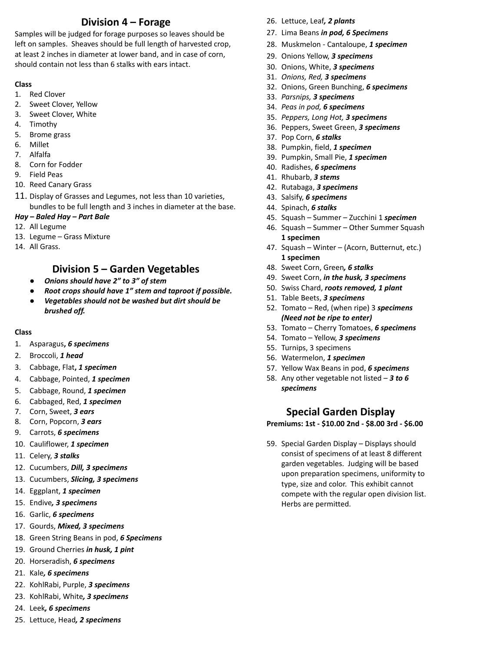# **Division 4 – Forage**

Samples will be judged for forage purposes so leaves should be left on samples. Sheaves should be full length of harvested crop, at least 2 inches in diameter at lower band, and in case of corn, should contain not less than 6 stalks with ears intact.

#### **Class**

- 1. Red Clover
- 2. Sweet Clover, Yellow
- 3. Sweet Clover, White
- 4. Timothy
- 5. Brome grass
- 6. Millet
- 7. Alfalfa
- 8. Corn for Fodder
- 9. Field Peas
- 10. Reed Canary Grass
- 11. Display of Grasses and Legumes, not less than 10 varieties, bundles to be full length and 3 inches in diameter at the base.

### *Hay – Baled Hay – Part Bale*

- 12. All Legume
- 13. Legume Grass Mixture
- 14. All Grass.

## **Division 5 – Garden Vegetables**

- *● Onions should have 2" to 3" of stem*
- *● Root crops should have 1" stem and taproot if possible.*
- *● Vegetables should not be washed but dirt should be brushed off.*

#### **Class**

- 1. Asparagus**,** *6 specimens*
- 2. Broccoli, *1 head*
- 3. Cabbage, Flat**,** *1 specimen*
- 4. Cabbage, Pointed, *1 specimen*
- 5. Cabbage, Round, *1 specimen*
- 6. Cabbaged, Red, *1 specimen*
- 7. Corn, Sweet, *3 ears*
- 8. Corn, Popcorn, *3 ears*
- 9. Carrots, *6 specimens*
- 10. Cauliflower, *1 specimen*
- 11. Celery, *3 stalks*
- 12. Cucumbers, *Dill, 3 specimens*
- 13. Cucumbers, *Slicing, 3 specimens*
- 14. Eggplant, *1 specimen*
- 15. Endive*, 3 specimens*
- 16. Garlic, *6 specimens*
- 17. Gourds, *Mixed, 3 specimens*
- 18. Green String Beans in pod, *6 Specimens*
- 19. Ground Cherries *in husk, 1 pint*
- 20. Horseradish, *6 specimens*
- 21. Kale*, 6 specimens*
- 22. KohlRabi, Purple, *3 specimens*
- 23. KohlRabi, White*, 3 specimens*
- 24. Leek*, 6 specimens*
- 25. Lettuce, Head*, 2 specimens*
- 26. Lettuce, Leaf*, 2 plants*
- 27. Lima Beans *in pod, 6 Specimens*
- 28. Muskmelon Cantaloupe, *1 specimen*
- 29. Onions Yellow, *3 specimens*
- 30. Onions, White, *3 specimens*
- 31. *Onions, Red, 3 specimens*
- 32. Onions, Green Bunching, *6 specimens*
- 33. *Parsnips, 3 specimens*
- 34. *Peas in pod, 6 specimens*
- 35. *Peppers, Long Hot, 3 specimens*
- 36. Peppers, Sweet Green, *3 specimens*
- 37. Pop Corn, *6 stalks*
- 38. Pumpkin, field, *1 specimen*
- 39. Pumpkin, Small Pie, *1 specimen*
- 40. Radishes, *6 specimens*
- 41. Rhubarb, *3 stems*
- 42. Rutabaga, *3 specimens*
- 43. Salsify, *6 specimens*
- 44. Spinach, *6 stalks*
- 45. Squash Summer Zucchini 1 *specimen*
- 46. Squash Summer Other Summer Squash **1 specimen**
- 47. Squash Winter (Acorn, Butternut, etc.) **1 specimen**
- 48. Sweet Corn, Green*, 6 stalks*
- 49. Sweet Corn, *in the husk, 3 specimens*
- 50. Swiss Chard, *roots removed, 1 plant*
- 51. Table Beets, *3 specimens*
- 52. Tomato Red, (when ripe) 3 *specimens (Need not be ripe to enter)*
- 53. Tomato Cherry Tomatoes, *6 specimens*
- 54. Tomato Yellow, *3 specimens*
- 55. Turnips, 3 specimens
- 56. Watermelon, *1 specimen*
- 57. Yellow Wax Beans in pod, *6 specimens*
- 58. Any other vegetable not listed *3 to 6 specimens*

### **Special Garden Display**

**Premiums: 1st - \$10.00 2nd - \$8.00 3rd - \$6.00**

59. Special Garden Display – Displays should consist of specimens of at least 8 different garden vegetables. Judging will be based upon preparation specimens, uniformity to type, size and color. This exhibit cannot compete with the regular open division list. Herbs are permitted.